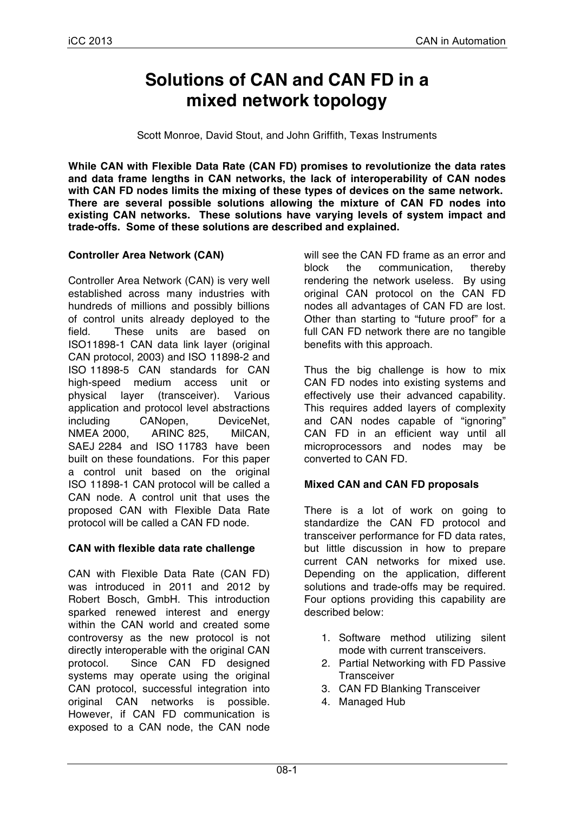# **Solutions of CAN and CAN FD in a mixed network topology**

Scott Monroe, David Stout, and John Griffith, Texas Instruments

**While CAN with Flexible Data Rate (CAN FD) promises to revolutionize the data rates and data frame lengths in CAN networks, the lack of interoperability of CAN nodes with CAN FD nodes limits the mixing of these types of devices on the same network. There are several possible solutions allowing the mixture of CAN FD nodes into existing CAN networks. These solutions have varying levels of system impact and trade-offs. Some of these solutions are described and explained.**

## **Controller Area Network (CAN)**

Controller Area Network (CAN) is very well established across many industries with hundreds of millions and possibly billions of control units already deployed to the field. These units are based on ISO11898-1 CAN data link layer (original CAN protocol, 2003) and ISO 11898-2 and ISO 11898-5 CAN standards for CAN high-speed medium access unit or physical layer (transceiver). Various application and protocol level abstractions including CANopen, DeviceNet, NMEA 2000, ARINC 825, MilCAN, SAEJ 2284 and ISO 11783 have been built on these foundations. For this paper a control unit based on the original ISO 11898-1 CAN protocol will be called a CAN node. A control unit that uses the proposed CAN with Flexible Data Rate protocol will be called a CAN FD node.

#### **CAN with flexible data rate challenge**

CAN with Flexible Data Rate (CAN FD) was introduced in 2011 and 2012 by Robert Bosch, GmbH. This introduction sparked renewed interest and energy within the CAN world and created some controversy as the new protocol is not directly interoperable with the original CAN protocol. Since CAN FD designed systems may operate using the original CAN protocol, successful integration into original CAN networks is possible. However, if CAN FD communication is exposed to a CAN node, the CAN node

will see the CAN FD frame as an error and block the communication, thereby rendering the network useless. By using original CAN protocol on the CAN FD nodes all advantages of CAN FD are lost. Other than starting to "future proof" for a full CAN FD network there are no tangible benefits with this approach.

Thus the big challenge is how to mix CAN FD nodes into existing systems and effectively use their advanced capability. This requires added layers of complexity and CAN nodes capable of "ignoring" CAN FD in an efficient way until all microprocessors and nodes may be converted to CAN FD.

## **Mixed CAN and CAN FD proposals**

There is a lot of work on going to standardize the CAN FD protocol and transceiver performance for FD data rates, but little discussion in how to prepare current CAN networks for mixed use. Depending on the application, different solutions and trade-offs may be required. Four options providing this capability are described below:

- 1. Software method utilizing silent mode with current transceivers.
- 2. Partial Networking with FD Passive **Transceiver**
- 3. CAN FD Blanking Transceiver
- 4. Managed Hub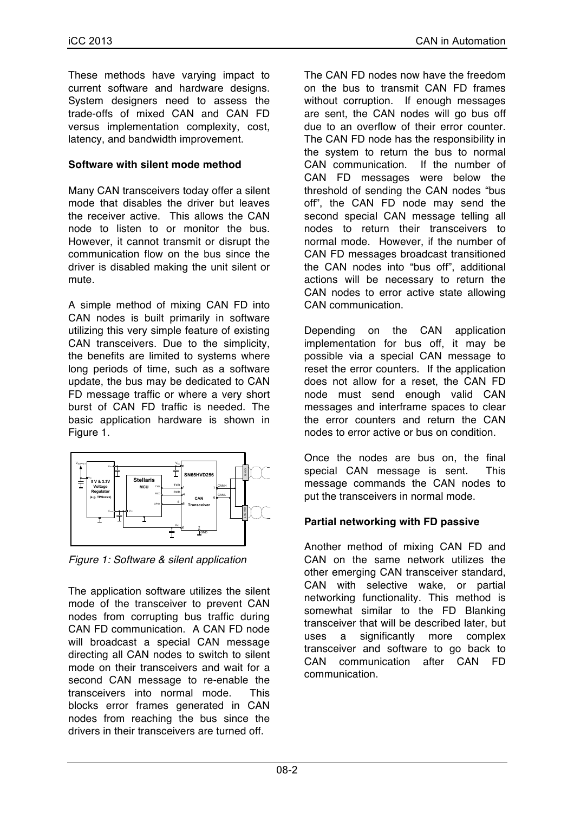These methods have varying impact to current software and hardware designs. System designers need to assess the trade-offs of mixed CAN and CAN FD versus implementation complexity, cost, latency, and bandwidth improvement.

### **Software with silent mode method**

Many CAN transceivers today offer a silent mode that disables the driver but leaves the receiver active. This allows the CAN node to listen to or monitor the bus. However, it cannot transmit or disrupt the communication flow on the bus since the driver is disabled making the unit silent or mute.

A simple method of mixing CAN FD into CAN nodes is built primarily in software utilizing this very simple feature of existing CAN transceivers. Due to the simplicity, the benefits are limited to systems where long periods of time, such as a software update, the bus may be dedicated to CAN FD message traffic or where a very short burst of CAN FD traffic is needed. The basic application hardware is shown in Figure 1.



*Figure 1: Software & silent application*

The application software utilizes the silent mode of the transceiver to prevent CAN nodes from corrupting bus traffic during CAN FD communication. A CAN FD node will broadcast a special CAN message directing all CAN nodes to switch to silent mode on their transceivers and wait for a second CAN message to re-enable the transceivers into normal mode. This blocks error frames generated in CAN nodes from reaching the bus since the drivers in their transceivers are turned off.

The CAN FD nodes now have the freedom on the bus to transmit CAN FD frames without corruption. If enough messages are sent, the CAN nodes will go bus off due to an overflow of their error counter. The CAN FD node has the responsibility in the system to return the bus to normal CAN communication. If the number of CAN FD messages were below the threshold of sending the CAN nodes "bus off", the CAN FD node may send the second special CAN message telling all nodes to return their transceivers to normal mode. However, if the number of CAN FD messages broadcast transitioned the CAN nodes into "bus off", additional actions will be necessary to return the CAN nodes to error active state allowing CAN communication.

Depending on the CAN application implementation for bus off, it may be possible via a special CAN message to reset the error counters. If the application does not allow for a reset, the CAN FD node must send enough valid CAN messages and interframe spaces to clear the error counters and return the CAN nodes to error active or bus on condition.

Once the nodes are bus on, the final special CAN message is sent. This message commands the CAN nodes to put the transceivers in normal mode.

## **Partial networking with FD passive**

Another method of mixing CAN FD and CAN on the same network utilizes the other emerging CAN transceiver standard, CAN with selective wake, or partial networking functionality. This method is somewhat similar to the FD Blanking transceiver that will be described later, but uses a significantly more complex transceiver and software to go back to CAN communication after CAN FD communication.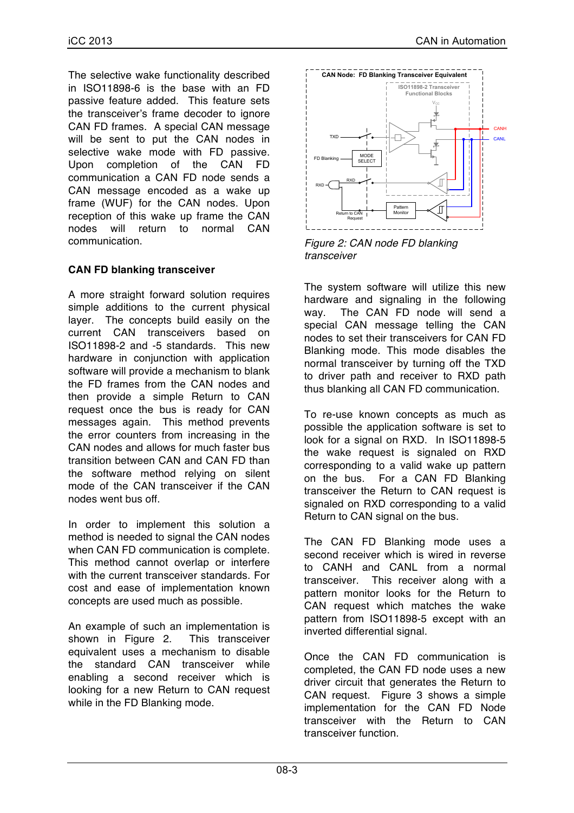The selective wake functionality described in ISO11898-6 is the base with an FD passive feature added. This feature sets the transceiver's frame decoder to ignore CAN FD frames. A special CAN message will be sent to put the CAN nodes in selective wake mode with FD passive. Upon completion of the CAN FD communication a CAN FD node sends a CAN message encoded as a wake up frame (WUF) for the CAN nodes. Upon reception of this wake up frame the CAN nodes will return to normal CAN communication.

# **CAN FD blanking transceiver**

A more straight forward solution requires simple additions to the current physical layer. The concepts build easily on the current CAN transceivers based on ISO11898-2 and -5 standards. This new hardware in conjunction with application software will provide a mechanism to blank the FD frames from the CAN nodes and then provide a simple Return to CAN request once the bus is ready for CAN messages again. This method prevents the error counters from increasing in the CAN nodes and allows for much faster bus transition between CAN and CAN FD than the software method relying on silent mode of the CAN transceiver if the CAN nodes went bus off.

In order to implement this solution a method is needed to signal the CAN nodes when CAN FD communication is complete. This method cannot overlap or interfere with the current transceiver standards. For cost and ease of implementation known concepts are used much as possible.

An example of such an implementation is shown in Figure 2. This transceiver equivalent uses a mechanism to disable the standard CAN transceiver while enabling a second receiver which is looking for a new Return to CAN request while in the FD Blanking mode.



*Figure 2: CAN node FD blanking transceiver*

The system software will utilize this new hardware and signaling in the following way. The CAN FD node will send a special CAN message telling the CAN nodes to set their transceivers for CAN FD Blanking mode. This mode disables the normal transceiver by turning off the TXD to driver path and receiver to RXD path thus blanking all CAN FD communication.

To re-use known concepts as much as possible the application software is set to look for a signal on RXD. In ISO11898-5 the wake request is signaled on RXD corresponding to a valid wake up pattern on the bus. For a CAN FD Blanking transceiver the Return to CAN request is signaled on RXD corresponding to a valid Return to CAN signal on the bus.

The CAN FD Blanking mode uses a second receiver which is wired in reverse to CANH and CANL from a normal transceiver. This receiver along with a pattern monitor looks for the Return to CAN request which matches the wake pattern from ISO11898-5 except with an inverted differential signal.

Once the CAN FD communication is completed, the CAN FD node uses a new driver circuit that generates the Return to CAN request. Figure 3 shows a simple implementation for the CAN FD Node transceiver with the Return to CAN transceiver function.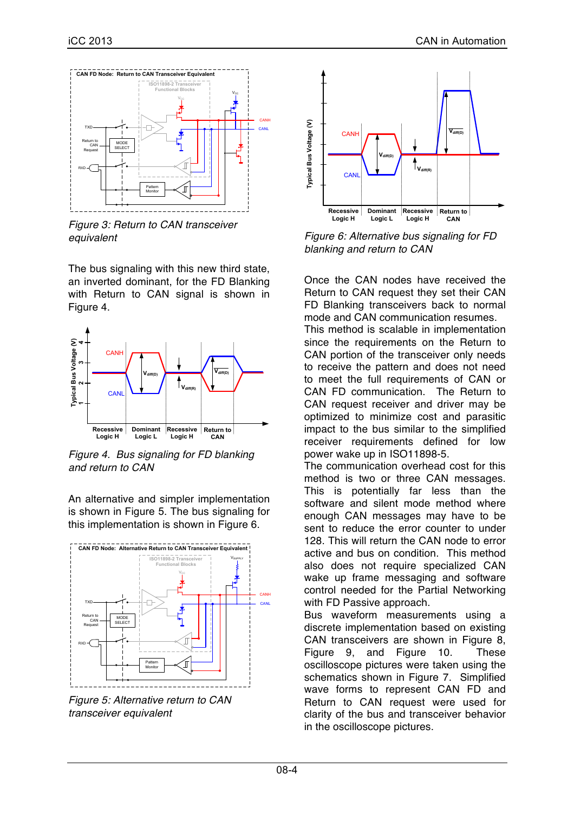

*Figure 3: Return to CAN transceiver equivalent*

The bus signaling with this new third state, an inverted dominant, for the FD Blanking with Return to CAN signal is shown in Figure 4.



*Figure 4. Bus signaling for FD blanking and return to CAN*

An alternative and simpler implementation is shown in Figure 5. The bus signaling for this implementation is shown in Figure 6.



*Figure 5: Alternative return to CAN transceiver equivalent*



*Figure 6: Alternative bus signaling for FD blanking and return to CAN*

Once the CAN nodes have received the Return to CAN request they set their CAN FD Blanking transceivers back to normal mode and CAN communication resumes.

This method is scalable in implementation since the requirements on the Return to CAN portion of the transceiver only needs to receive the pattern and does not need to meet the full requirements of CAN or CAN FD communication. The Return to CAN request receiver and driver may be optimized to minimize cost and parasitic impact to the bus similar to the simplified receiver requirements defined for low power wake up in ISO11898-5.

The communication overhead cost for this method is two or three CAN messages. This is potentially far less than the software and silent mode method where enough CAN messages may have to be sent to reduce the error counter to under 128. This will return the CAN node to error active and bus on condition. This method also does not require specialized CAN wake up frame messaging and software control needed for the Partial Networking with FD Passive approach.

Bus waveform measurements using a discrete implementation based on existing CAN transceivers are shown in Figure 8, Figure 9, and Figure 10. These oscilloscope pictures were taken using the schematics shown in Figure 7. Simplified wave forms to represent CAN FD and Return to CAN request were used for clarity of the bus and transceiver behavior in the oscilloscope pictures.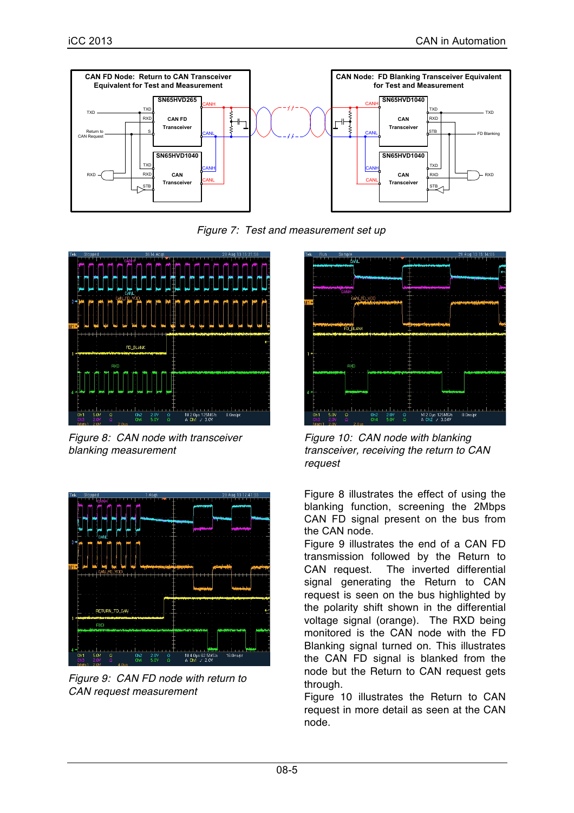

*Figure 7: Test and measurement set up*



*Figure 8: CAN node with transceiver blanking measurement*



*Figure 9: CAN FD node with return to CAN request measurement*



*Figure 10: CAN node with blanking transceiver, receiving the return to CAN request*

Figure 8 illustrates the effect of using the blanking function, screening the 2Mbps CAN FD signal present on the bus from the CAN node.

Figure 9 illustrates the end of a CAN FD transmission followed by the Return to CAN request. The inverted differential signal generating the Return to CAN request is seen on the bus highlighted by the polarity shift shown in the differential voltage signal (orange). The RXD being monitored is the CAN node with the FD Blanking signal turned on. This illustrates the CAN FD signal is blanked from the node but the Return to CAN request gets through.

Figure 10 illustrates the Return to CAN request in more detail as seen at the CAN node.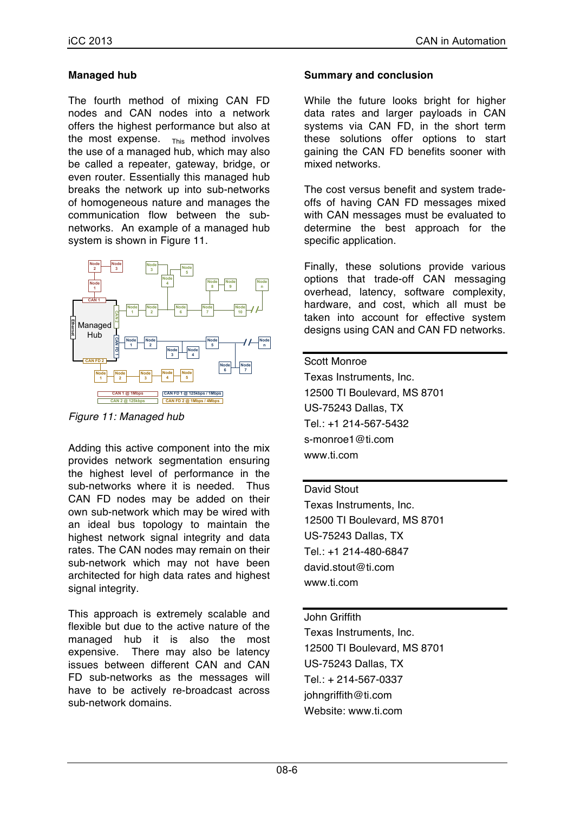## **Managed hub**

The fourth method of mixing CAN FD nodes and CAN nodes into a network offers the highest performance but also at the most expense.  $_{\text{This}}$  method involves the use of a managed hub, which may also be called a repeater, gateway, bridge, or even router. Essentially this managed hub breaks the network up into sub-networks of homogeneous nature and manages the communication flow between the subnetworks. An example of a managed hub system is shown in Figure 11.



*Figure 11: Managed hub*

Adding this active component into the mix provides network segmentation ensuring the highest level of performance in the sub-networks where it is needed. Thus CAN FD nodes may be added on their own sub-network which may be wired with an ideal bus topology to maintain the highest network signal integrity and data rates. The CAN nodes may remain on their sub-network which may not have been architected for high data rates and highest signal integrity.

This approach is extremely scalable and flexible but due to the active nature of the managed hub it is also the most expensive. There may also be latency issues between different CAN and CAN FD sub-networks as the messages will have to be actively re-broadcast across sub-network domains.

## **Summary and conclusion**

While the future looks bright for higher data rates and larger payloads in CAN systems via CAN FD, in the short term these solutions offer options to start gaining the CAN FD benefits sooner with mixed networks.

The cost versus benefit and system tradeoffs of having CAN FD messages mixed with CAN messages must be evaluated to determine the best approach for the specific application.

Finally, these solutions provide various options that trade-off CAN messaging overhead, latency, software complexity, hardware, and cost, which all must be taken into account for effective system designs using CAN and CAN FD networks.

#### Scott Monroe

Texas Instruments, Inc. 12500 TI Boulevard, MS 8701 US-75243 Dallas, TX Tel.: +1 214-567-5432 s-monroe1@ti.com www.ti.com

#### David Stout

Texas Instruments, Inc. 12500 TI Boulevard, MS 8701 US-75243 Dallas, TX Tel.: +1 214-480-6847 david.stout@ti.com www.ti.com

#### John Griffith

Texas Instruments, Inc. 12500 TI Boulevard, MS 8701 US-75243 Dallas, TX Tel.: + 214-567-0337 johngriffith@ti.com Website: www.ti.com